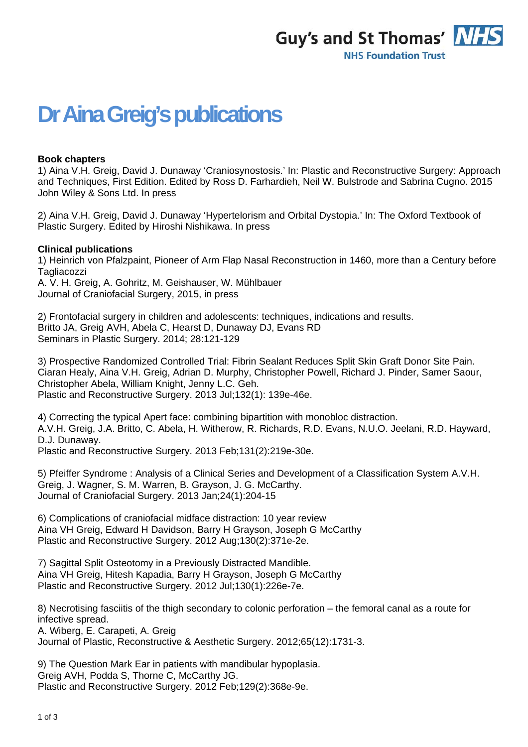

## **Dr Aina Greig's publications**

## **Book chapters**

1) Aina V.H. Greig, David J. Dunaway 'Craniosynostosis.' In: Plastic and Reconstructive Surgery: Approach and Techniques, First Edition. Edited by Ross D. Farhardieh, Neil W. Bulstrode and Sabrina Cugno. 2015 John Wiley & Sons Ltd. In press

2) Aina V.H. Greig, David J. Dunaway 'Hypertelorism and Orbital Dystopia.' In: The Oxford Textbook of Plastic Surgery. Edited by Hiroshi Nishikawa. In press

## **Clinical publications**

1) Heinrich von Pfalzpaint, Pioneer of Arm Flap Nasal Reconstruction in 1460, more than a Century before **Tagliacozzi** 

A. V. H. Greig, A. Gohritz, M. Geishauser, W. Mühlbauer Journal of Craniofacial Surgery, 2015, in press

2) Frontofacial surgery in children and adolescents: techniques, indications and results. Britto JA, Greig AVH, Abela C, Hearst D, Dunaway DJ, Evans RD Seminars in Plastic Surgery. 2014; 28:121-129

3) Prospective Randomized Controlled Trial: Fibrin Sealant Reduces Split Skin Graft Donor Site Pain. Ciaran Healy, Aina V.H. Greig, Adrian D. Murphy, Christopher Powell, Richard J. Pinder, Samer Saour, Christopher Abela, William Knight, Jenny L.C. Geh. Plastic and Reconstructive Surgery. 2013 Jul;132(1): 139e-46e.

4) Correcting the typical Apert face: combining bipartition with monobloc distraction. A.V.H. Greig, J.A. Britto, C. Abela, H. Witherow, R. Richards, R.D. Evans, N.U.O. Jeelani, R.D. Hayward, D.J. Dunaway.

Plastic and Reconstructive Surgery. 2013 Feb;131(2):219e-30e.

5) Pfeiffer Syndrome : Analysis of a Clinical Series and Development of a Classification System A.V.H. Greig, J. Wagner, S. M. Warren, B. Grayson, J. G. McCarthy. Journal of Craniofacial Surgery. 2013 Jan;24(1):204-15

6) Complications of craniofacial midface distraction: 10 year review Aina VH Greig, Edward H Davidson, Barry H Grayson, Joseph G McCarthy Plastic and Reconstructive Surgery. 2012 Aug;130(2):371e-2e.

7) Sagittal Split Osteotomy in a Previously Distracted Mandible. Aina VH Greig, Hitesh Kapadia, Barry H Grayson, Joseph G McCarthy Plastic and Reconstructive Surgery. 2012 Jul;130(1):226e-7e.

8) Necrotising fasciitis of the thigh secondary to colonic perforation – the femoral canal as a route for infective spread.

A. Wiberg, E. Carapeti, A. Greig

Journal of Plastic, Reconstructive & Aesthetic Surgery. 2012;65(12):1731-3.

9) The Question Mark Ear in patients with mandibular hypoplasia. Greig AVH, Podda S, Thorne C, McCarthy JG. Plastic and Reconstructive Surgery. 2012 Feb;129(2):368e-9e.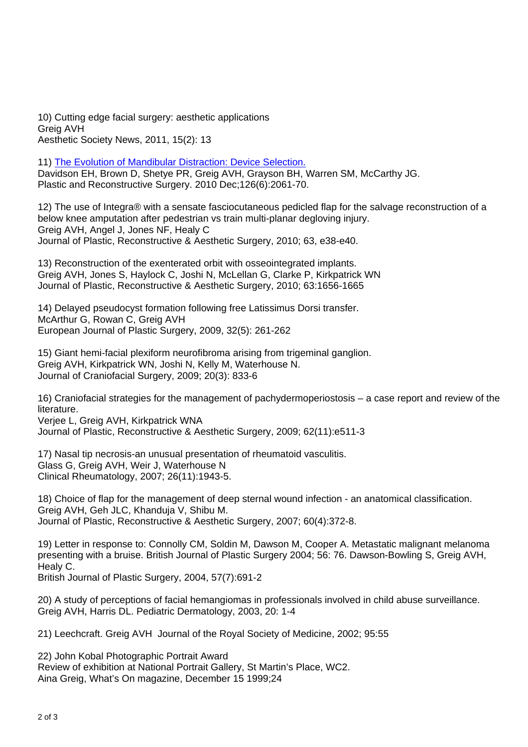10) Cutting edge facial surgery: aesthetic applications Greig AVH Aesthetic Society News, 2011, 15(2): 13

11) The Evolution of Mandibular Distraction: Device Selection. Davidson EH, Brown D, Shetye PR, Greig AVH, Grayson BH, Warren SM, McCarthy JG. Plastic and Reconstructive Surgery. 2010 Dec;126(6):2061-70.

12) The use of Integra® with a sensate fasciocutaneous pedicled flap for the salvage reconstruction of a below knee amputation after pedestrian vs train multi-planar degloving injury. Greig AVH, Angel J, Jones NF, Healy C Journal of Plastic, Reconstructive & Aesthetic Surgery, 2010; 63, e38-e40.

13) Reconstruction of the exenterated orbit with osseointegrated implants. Greig AVH, Jones S, Haylock C, Joshi N, McLellan G, Clarke P, Kirkpatrick WN Journal of Plastic, Reconstructive & Aesthetic Surgery, 2010; 63:1656-1665

14) Delayed pseudocyst formation following free Latissimus Dorsi transfer. McArthur G, Rowan C, Greig AVH European Journal of Plastic Surgery, 2009, 32(5): 261-262

15) Giant hemi-facial plexiform neurofibroma arising from trigeminal ganglion. Greig AVH, Kirkpatrick WN, Joshi N, Kelly M, Waterhouse N. Journal of Craniofacial Surgery, 2009; 20(3): 833-6

16) Craniofacial strategies for the management of pachydermoperiostosis – a case report and review of the literature.

Verjee L, Greig AVH, Kirkpatrick WNA Journal of Plastic, Reconstructive & Aesthetic Surgery, 2009; 62(11):e511-3

17) Nasal tip necrosis-an unusual presentation of rheumatoid vasculitis. Glass G, Greig AVH, Weir J, Waterhouse N Clinical Rheumatology, 2007; 26(11):1943-5.

18) Choice of flap for the management of deep sternal wound infection - an anatomical classification. Greig AVH, Geh JLC, Khanduja V, Shibu M. Journal of Plastic, Reconstructive & Aesthetic Surgery, 2007; 60(4):372-8.

19) Letter in response to: Connolly CM, Soldin M, Dawson M, Cooper A. Metastatic malignant melanoma presenting with a bruise. British Journal of Plastic Surgery 2004; 56: 76. Dawson-Bowling S, Greig AVH, Healy C.

British Journal of Plastic Surgery, 2004, 57(7):691-2

20) A study of perceptions of facial hemangiomas in professionals involved in child abuse surveillance. Greig AVH, Harris DL. Pediatric Dermatology, 2003, 20: 1-4

21) Leechcraft. Greig AVH Journal of the Royal Society of Medicine, 2002; 95:55

22) John Kobal Photographic Portrait Award Review of exhibition at National Portrait Gallery, St Martin's Place, WC2. Aina Greig, What's On magazine, December 15 1999;24